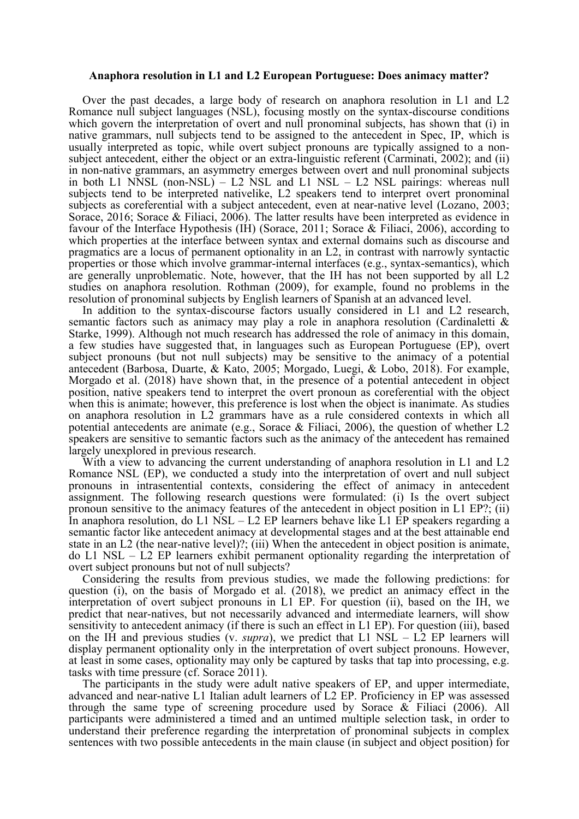## **Anaphora resolution in L1 and L2 European Portuguese: Does animacy matter?**

Over the past decades, a large body of research on anaphora resolution in L1 and L2 Romance null subject languages (NSL), focusing mostly on the syntax-discourse conditions which govern the interpretation of overt and null pronominal subjects, has shown that (i) in native grammars, null subjects tend to be assigned to the antecedent in Spec, IP, which is usually interpreted as topic, while overt subject pronouns are typically assigned to a nonsubject antecedent, either the object or an extra-linguistic referent (Carminati, 2002); and (ii) in non-native grammars, an asymmetry emerges between overt and null pronominal subjects in both L1 NNSL (non-NSL) – L2 NSL and L1 NSL – L2 NSL pairings: whereas null subjects tend to be interpreted nativelike, L2 speakers tend to interpret overt pronominal subjects as coreferential with a subject antecedent, even at near-native level (Lozano, 2003; Sorace, 2016; Sorace & Filiaci, 2006). The latter results have been interpreted as evidence in favour of the Interface Hypothesis (IH) (Sorace, 2011; Sorace & Filiaci, 2006), according to which properties at the interface between syntax and external domains such as discourse and pragmatics are a locus of permanent optionality in an L2, in contrast with narrowly syntactic properties or those which involve grammar-internal interfaces (e.g., syntax-semantics), which are generally unproblematic. Note, however, that the IH has not been supported by all L2 studies on anaphora resolution. Rothman (2009), for example, found no problems in the resolution of pronominal subjects by English learners of Spanish at an advanced level.

In addition to the syntax-discourse factors usually considered in L1 and L2 research, semantic factors such as animacy may play a role in anaphora resolution (Cardinaletti & Starke, 1999). Although not much research has addressed the role of animacy in this domain, a few studies have suggested that, in languages such as European Portuguese (EP), overt subject pronouns (but not null subjects) may be sensitive to the animacy of a potential antecedent (Barbosa, Duarte, & Kato, 2005; Morgado, Luegi, & Lobo, 2018). For example, Morgado et al. (2018) have shown that, in the presence of a potential antecedent in object position, native speakers tend to interpret the overt pronoun as coreferential with the object when this is animate; however, this preference is lost when the object is inanimate. As studies on anaphora resolution in L2 grammars have as a rule considered contexts in which all potential antecedents are animate (e.g., Sorace & Filiaci, 2006), the question of whether L2 speakers are sensitive to semantic factors such as the animacy of the antecedent has remained largely unexplored in previous research.

With a view to advancing the current understanding of anaphora resolution in L1 and L2 Romance NSL (EP), we conducted a study into the interpretation of overt and null subject pronouns in intrasentential contexts, considering the effect of animacy in antecedent assignment. The following research questions were formulated: (i) Is the overt subject pronoun sensitive to the animacy features of the antecedent in object position in L1 EP?; (ii) In anaphora resolution, do L1 NSL – L2 EP learners behave like L1 EP speakers regarding a semantic factor like antecedent animacy at developmental stages and at the best attainable end state in an L2 (the near-native level)?; (iii) When the antecedent in object position is animate, do L1 NSL – L2 EP learners exhibit permanent optionality regarding the interpretation of overt subject pronouns but not of null subjects?

Considering the results from previous studies, we made the following predictions: for question (i), on the basis of Morgado et al. (2018), we predict an animacy effect in the interpretation of overt subject pronouns in L1 EP. For question (ii), based on the IH, we predict that near-natives, but not necessarily advanced and intermediate learners, will show sensitivity to antecedent animacy (if there is such an effect in L1 EP). For question (iii), based on the IH and previous studies (v. *supra*), we predict that L1 NSL – L2 EP learners will display permanent optionality only in the interpretation of overt subject pronouns. However, at least in some cases, optionality may only be captured by tasks that tap into processing, e.g. tasks with time pressure (cf. Sorace 2011).

The participants in the study were adult native speakers of EP, and upper intermediate, advanced and near-native L1 Italian adult learners of L2 EP. Proficiency in EP was assessed through the same type of screening procedure used by Sorace & Filiaci (2006). All participants were administered a timed and an untimed multiple selection task, in order to understand their preference regarding the interpretation of pronominal subjects in complex sentences with two possible antecedents in the main clause (in subject and object position) for